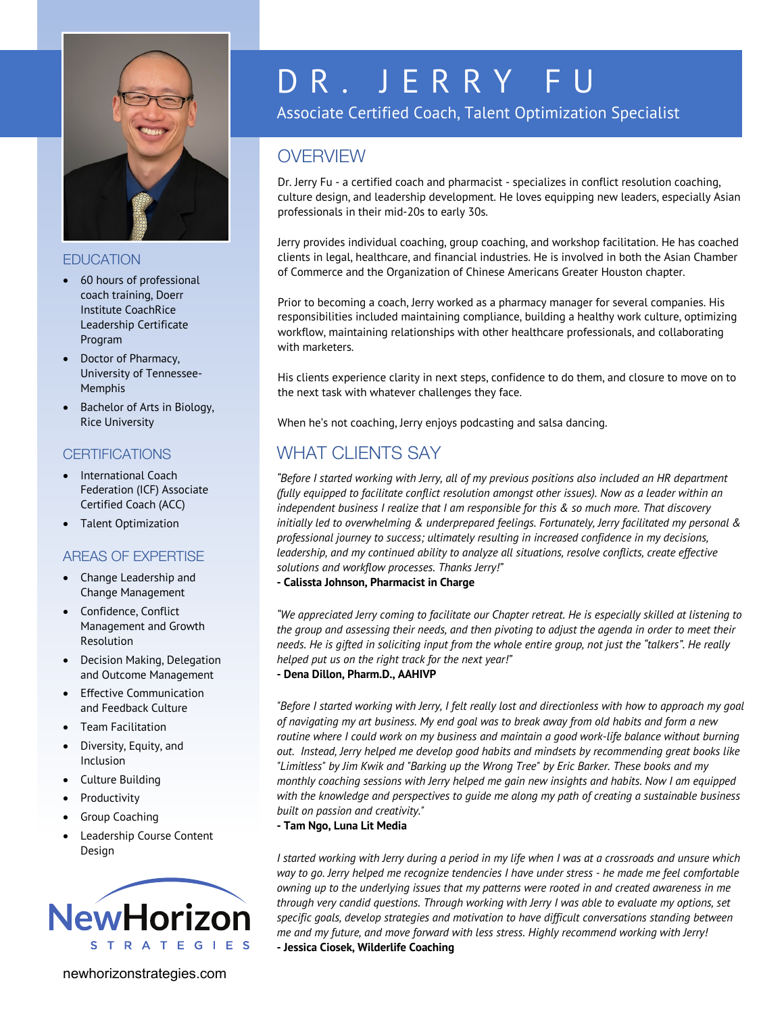

### **EDUCATION**

- 60 hours of professional coach training, Doerr Institute CoachRice Leadership Certificate Program
- Doctor of Pharmacy, University of Tennessee-Memphis
- Bachelor of Arts in Biology, Rice University

## **CERTIFICATIONS**

- International Coach Federation (ICF) Associate Certified Coach (ACC)
- Talent Optimization

## AREAS OF EXPERTISE

- Change Leadership and Change Management
- Confidence, Conflict Management and Growth Resolution
- Decision Making, Delegation and Outcome Management
- Effective Communication and Feedback Culture
- Team Facilitation
- Diversity, Equity, and Inclusion
- Culture Building
- **Productivity**
- Group Coaching
- Leadership Course Content Design



# D R. JERRY FU

Associate Certified Coach, Talent Optimization Specialist

## **OVERVIEW**

Dr. Jerry Fu - a certified coach and pharmacist - specializes in conflict resolution coaching, culture design, and leadership development. He loves equipping new leaders, especially Asian professionals in their mid-20s to early 30s.

Jerry provides individual coaching, group coaching, and workshop facilitation. He has coached clients in legal, healthcare, and financial industries. He is involved in both the Asian Chamber of Commerce and the Organization of Chinese Americans Greater Houston chapter.

Prior to becoming a coach, Jerry worked as a pharmacy manager for several companies. His responsibilities included maintaining compliance, building a healthy work culture, optimizing workflow, maintaining relationships with other healthcare professionals, and collaborating with marketers.

His clients experience clarity in next steps, confidence to do them, and closure to move on to the next task with whatever challenges they face.

When he's not coaching, Jerry enjoys podcasting and salsa dancing.

# WHAT CLIENTS SAY

*"Before I started working with Jerry, all of my previous positions also included an HR department (fully equipped to facilitate conflict resolution amongst other issues). Now as a leader within an independent business I realize that I am responsible for this & so much more. That discovery initially led to overwhelming & underprepared feelings. Fortunately, Jerry facilitated my personal & professional journey to success; ultimately resulting in increased confidence in my decisions, leadership, and my continued ability to analyze all situations, resolve conflicts, create effective solutions and workflow processes. Thanks Jerry!"*

**- Calissta Johnson, Pharmacist in Charge**

*"We appreciated Jerry coming to facilitate our Chapter retreat. He is especially skilled at listening to the group and assessing their needs, and then pivoting to adjust the agenda in order to meet their needs. He is gifted in soliciting input from the whole entire group, not just the "talkers". He really helped put us on the right track for the next year!"*

#### **- Dena Dillon, Pharm.D., AAHIVP**

*"Before I started working with Jerry, I felt really lost and directionless with how to approach my goal of navigating my art business. My end goal was to break away from old habits and form a new routine where I could work on my business and maintain a good work-life balance without burning out. Instead, Jerry helped me develop good habits and mindsets by recommending great books like "Limitless" by Jim Kwik and "Barking up the Wrong Tree" by Eric Barker. These books and my monthly coaching sessions with Jerry helped me gain new insights and habits. Now I am equipped with the knowledge and perspectives to guide me along my path of creating a sustainable business built on passion and creativity."*

**- Tam Ngo, Luna Lit Media**

*I started working with Jerry during a period in my life when I was at a crossroads and unsure which way to go. Jerry helped me recognize tendencies I have under stress - he made me feel comfortable owning up to the underlying issues that my patterns were rooted in and created awareness in me through very candid questions. Through working with Jerry I was able to evaluate my options, set specific goals, develop strategies and motivation to have difficult conversations standing between me and my future, and move forward with less stress. Highly recommend working with Jerry!* **- Jessica Ciosek, Wilderlife Coaching**